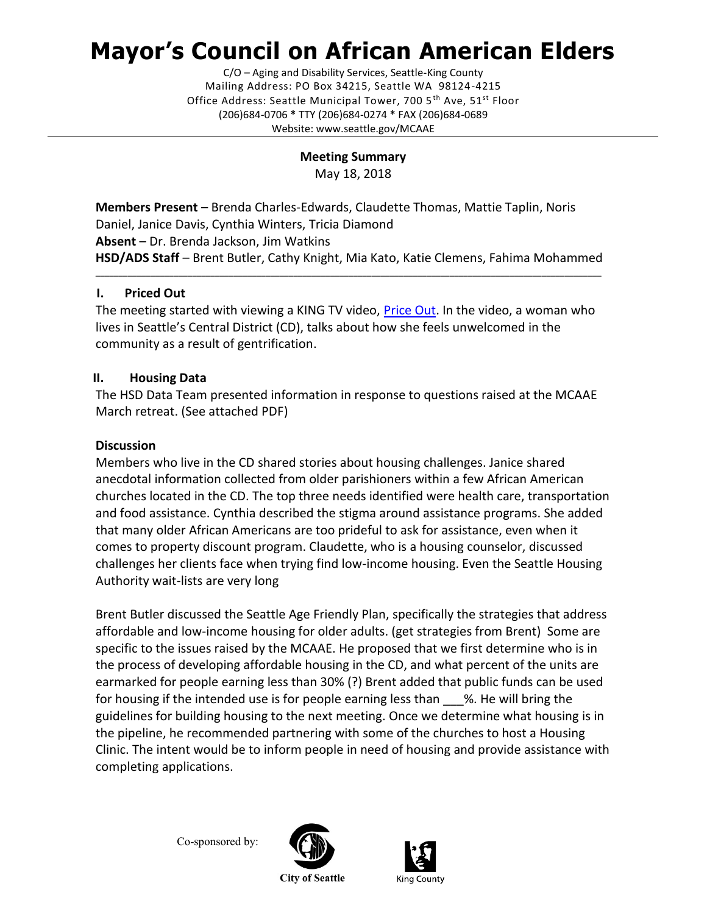# **Mayor's Council on African American Elders**

C/O – Aging and Disability Services, Seattle-King County Mailing Address: PO Box 34215, Seattle WA 98124-4215 Office Address: Seattle Municipal Tower, 700 5<sup>th</sup> Ave, 51<sup>st</sup> Floor (206)684-0706 **\*** TTY (206)684-0274 **\*** FAX (206)684-0689 Website: www.seattle.gov/MCAAE

> **Meeting Summary** May 18, 2018

**Members Present** – Brenda Charles-Edwards, Claudette Thomas, Mattie Taplin, Noris Daniel, Janice Davis, Cynthia Winters, Tricia Diamond **Absent** – Dr. Brenda Jackson, Jim Watkins **HSD/ADS Staff** – Brent Butler, Cathy Knight, Mia Kato, Katie Clemens, Fahima Mohammed

\_\_\_\_\_\_\_\_\_\_\_\_\_\_\_\_\_\_\_\_\_\_\_\_\_\_\_\_\_\_\_\_\_\_\_\_\_\_\_\_\_\_\_\_\_\_\_\_\_\_\_\_\_\_\_\_\_\_\_\_\_\_\_\_\_\_\_\_\_\_\_\_\_\_\_\_\_\_\_\_\_\_\_\_\_\_\_\_\_\_\_\_\_\_\_\_\_\_\_\_\_\_\_\_\_\_\_\_\_\_

## **I. Priced Out**

The meeting started with viewing a KING TV video, *Price Out*. In the video, a woman who lives in Seattle's Central District (CD), talks about how she feels unwelcomed in the community as a result of gentrification.

## **II. Housing Data**

The HSD Data Team presented information in response to questions raised at the MCAAE March retreat. (See attached PDF)

#### **Discussion**

Members who live in the CD shared stories about housing challenges. Janice shared anecdotal information collected from older parishioners within a few African American churches located in the CD. The top three needs identified were health care, transportation and food assistance. Cynthia described the stigma around assistance programs. She added that many older African Americans are too prideful to ask for assistance, even when it comes to property discount program. Claudette, who is a housing counselor, discussed challenges her clients face when trying find low-income housing. Even the Seattle Housing Authority wait-lists are very long

Brent Butler discussed the Seattle Age Friendly Plan, specifically the strategies that address affordable and low-income housing for older adults. (get strategies from Brent) Some are specific to the issues raised by the MCAAE. He proposed that we first determine who is in the process of developing affordable housing in the CD, and what percent of the units are earmarked for people earning less than 30% (?) Brent added that public funds can be used for housing if the intended use is for people earning less than %. He will bring the guidelines for building housing to the next meeting. Once we determine what housing is in the pipeline, he recommended partnering with some of the churches to host a Housing Clinic. The intent would be to inform people in need of housing and provide assistance with completing applications.

Co-sponsored by:





**City of Seattle**